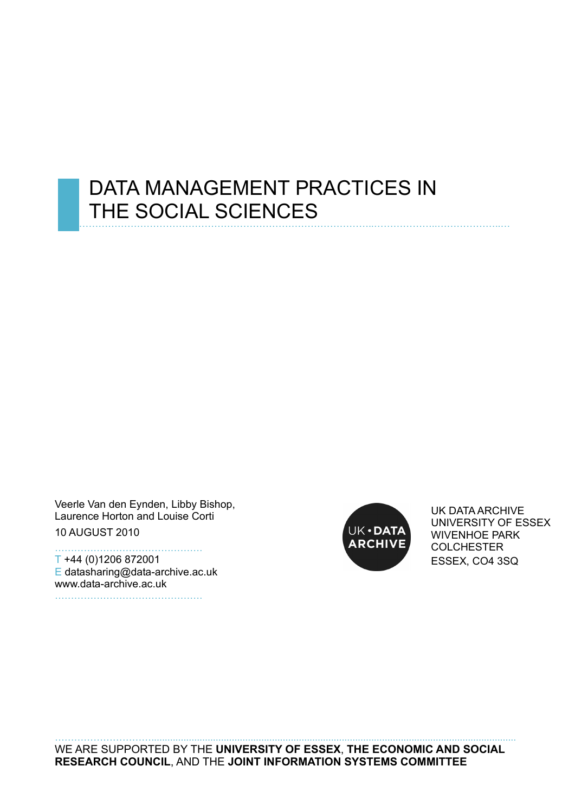# DATA MANAGEMENT PRACTICES IN THE SOCIAL SCIENCES

Veerle Van den Eynden, Libby Bishop, Laurence Horton and Louise Corti 10 AUGUST 2010

………………………………………. T +44 (0)1206 872001 E datasharing@data-archive.ac.uk www.data-archive.ac.uk ……………………………………….



UK DATA ARCHIVE UNIVERSITY OF ESSEX WIVENHOE PARK COLCHESTER ESSEX, CO4 3SQ

…………………………........................................................................................................................................ WE ARE SUPPORTED BY THE **UNIVERSITY OF ESSEX**, **THE ECONOMIC AND SOCIAL RESEARCH COUNCIL**, AND THE **JOINT INFORMATION SYSTEMS COMMITTEE**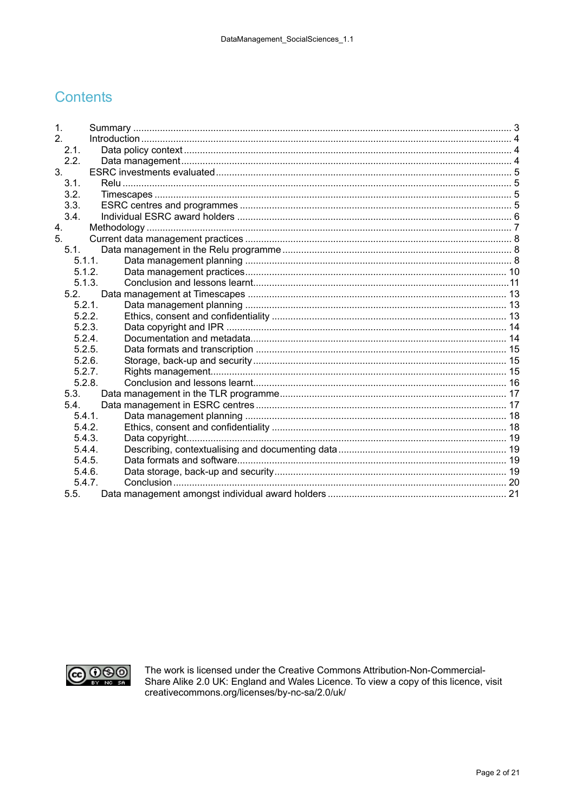## **Contents**

| 1 <sub>1</sub> |        |  |  |
|----------------|--------|--|--|
| 2.             |        |  |  |
| 2.1.           |        |  |  |
| 2.2.           |        |  |  |
| 3.             |        |  |  |
| 3.1.           |        |  |  |
| 3.2.           |        |  |  |
| 3.3.           |        |  |  |
| 3.4.           |        |  |  |
| 4.             |        |  |  |
| 5.             |        |  |  |
| 5.1.           |        |  |  |
|                | 5.1.1  |  |  |
|                | 5.1.2. |  |  |
|                | 5.1.3. |  |  |
|                | 5.2.   |  |  |
|                | 5.2.1. |  |  |
|                | 5.2.2. |  |  |
|                | 5.2.3. |  |  |
|                | 5.2.4  |  |  |
|                | 5.2.5. |  |  |
|                | 5.2.6. |  |  |
|                | 5.2.7. |  |  |
|                | 5.2.8. |  |  |
|                | 5.3.   |  |  |
| 5.4.           |        |  |  |
|                | 5.4.1  |  |  |
|                | 5.4.2. |  |  |
|                | 5.4.3. |  |  |
|                | 5.4.4. |  |  |
|                | 5.4.5. |  |  |
|                | 5.4.6. |  |  |
|                | 5.4.7. |  |  |
| 5.5.           |        |  |  |



The work is licensed under the Creative Commons Attribution-Non-Commercial-<br>Share Alike 2.0 UK: England and Wales Licence. To view a copy of this licence, visit<br>creativecommons.org/licenses/by-nc-sa/2.0/uk/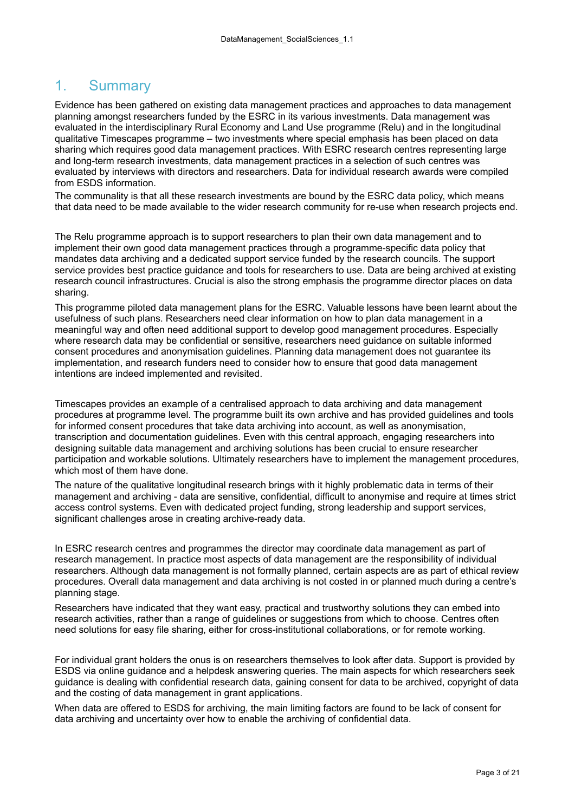### <span id="page-2-0"></span>1. Summary

Evidence has been gathered on existing data management practices and approaches to data management planning amongst researchers funded by the ESRC in its various investments. Data management was evaluated in the interdisciplinary Rural Economy and Land Use programme (Relu) and in the longitudinal qualitative Timescapes programme – two investments where special emphasis has been placed on data sharing which requires good data management practices. With ESRC research centres representing large and long-term research investments, data management practices in a selection of such centres was evaluated by interviews with directors and researchers. Data for individual research awards were compiled from ESDS information.

The communality is that all these research investments are bound by the ESRC data policy, which means that data need to be made available to the wider research community for re-use when research projects end.

The Relu programme approach is to support researchers to plan their own data management and to implement their own good data management practices through a programme-specific data policy that mandates data archiving and a dedicated support service funded by the research councils. The support service provides best practice guidance and tools for researchers to use. Data are being archived at existing research council infrastructures. Crucial is also the strong emphasis the programme director places on data sharing.

This programme piloted data management plans for the ESRC. Valuable lessons have been learnt about the usefulness of such plans. Researchers need clear information on how to plan data management in a meaningful way and often need additional support to develop good management procedures. Especially where research data may be confidential or sensitive, researchers need guidance on suitable informed consent procedures and anonymisation guidelines. Planning data management does not guarantee its implementation, and research funders need to consider how to ensure that good data management intentions are indeed implemented and revisited.

Timescapes provides an example of a centralised approach to data archiving and data management procedures at programme level. The programme built its own archive and has provided guidelines and tools for informed consent procedures that take data archiving into account, as well as anonymisation, transcription and documentation guidelines. Even with this central approach, engaging researchers into designing suitable data management and archiving solutions has been crucial to ensure researcher participation and workable solutions. Ultimately researchers have to implement the management procedures, which most of them have done.

The nature of the qualitative longitudinal research brings with it highly problematic data in terms of their management and archiving - data are sensitive, confidential, difficult to anonymise and require at times strict access control systems. Even with dedicated project funding, strong leadership and support services, significant challenges arose in creating archive-ready data.

In ESRC research centres and programmes the director may coordinate data management as part of research management. In practice most aspects of data management are the responsibility of individual researchers. Although data management is not formally planned, certain aspects are as part of ethical review procedures. Overall data management and data archiving is not costed in or planned much during a centre's planning stage.

Researchers have indicated that they want easy, practical and trustworthy solutions they can embed into research activities, rather than a range of guidelines or suggestions from which to choose. Centres often need solutions for easy file sharing, either for cross-institutional collaborations, or for remote working.

For individual grant holders the onus is on researchers themselves to look after data. Support is provided by ESDS via online guidance and a helpdesk answering queries. The main aspects for which researchers seek guidance is dealing with confidential research data, gaining consent for data to be archived, copyright of data and the costing of data management in grant applications.

When data are offered to ESDS for archiving, the main limiting factors are found to be lack of consent for data archiving and uncertainty over how to enable the archiving of confidential data.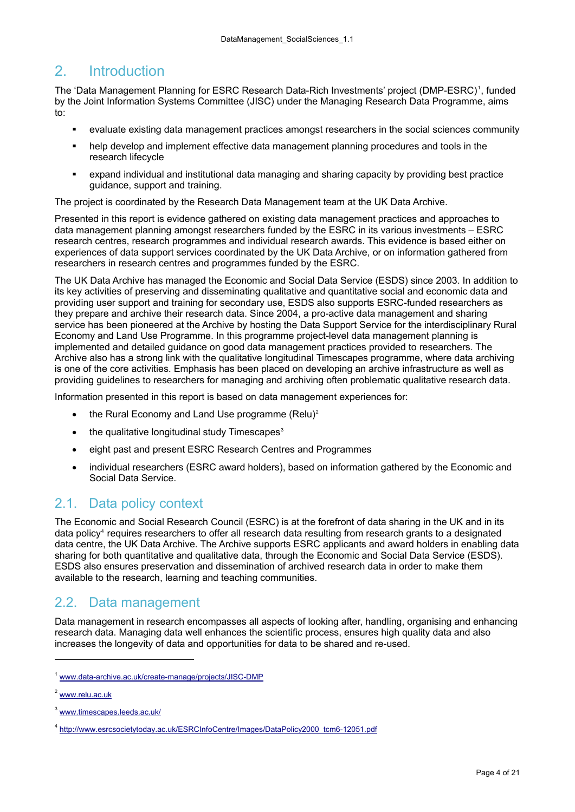## <span id="page-3-0"></span>2. Introduction

The 'Data Management Planning for ESRC Research Data-Rich Investments' project (DMP-ESRC)<sup>1</sup>, funded by the Joint Information Systems Committee (JISC) under the Managing Research Data Programme, aims to:

- evaluate existing data management practices amongst researchers in the social sciences c[o](#page-3-1)mmunity
- help develop and implement effective data management planning procedures and tools in the research lifecycle
- expand individual and institutional data managing and sharing capacity by providing best practice guidance, support and training.

The project is coordinated by the Research Data Management team at the UK Data Archive.

Presented in this report is evidence gathered on existing data management practices and approaches to data management planning amongst researchers funded by the ESRC in its various investments – ESRC research centres, research programmes and individual research awards. This evidence is based either on experiences of data support services coordinated by the UK Data Archive, or on information gathered from researchers in research centres and programmes funded by the ESRC.

The UK Data Archive has managed the Economic and Social Data Service (ESDS) since 2003. In addition to its key activities of preserving and disseminating qualitative and quantitative social and economic data and providing user support and training for secondary use, ESDS also supports ESRC-funded researchers as they prepare and archive their research data. Since 2004, a pro-active data management and sharing service has been pioneered at the Archive by hosting the Data Support Service for the interdisciplinary Rural Economy and Land Use Programme. In this programme project-level data management planning is implemented and detailed guidance on good data management practices provided to researchers. The Archive also has a strong link with the qualitative longitudinal Timescapes programme, where data archiving is one of the core activities. Emphasis has been placed on developing an archive infrastructure as well as providing guidelines to researchers for managing and archiving often problematic qualitative research data.

Information presented in this report is based on data management experiences for:

- the Rural Economy and Land Use programme  $(Relu)^2$
- $\bullet$  the qualitative longitudinal study Timescapes<sup>3</sup>
- eight past and present ESRC Research Centres and Programmes
- individual researchers (ESRC award holders), based [o](#page-3-2)n information gathered by the Economic and Social Data Service.

### 2.1. Data policy context

The Economic and Social Research Council (ESRC) is at the forefront of data sharing in the UK and in its data policy<sup>4</sup> requires researchers to offer all research data resulting from research grants to a designated data centre, the UK Data Archive. The Archive supports ESRC applicants and award holders in enabling data sharing for both quantitative and qualitative data, through the Economic and Social Data Service (ESDS). ESDS also ensures preservation and dissemination of archived research data in order to make them available t[o](#page-3-3) the research, learning and teaching communities.

#### 2.2. Data management

Data management in research encompasses all aspects of looking after, handling, organising and enhancing research data. Managing data well enhances the scientific process, ensures high quality data and also increases the longevity of data and opportunities for data to be shared and re-used.

<sup>&</sup>lt;sup>1</sup> www.data-archive.ac.uk/create-manage/projects/JISC-DMP

<sup>&</sup>lt;sup>2</sup> www.relu.ac.uk

<span id="page-3-1"></span><sup>&</sup>lt;sup>3</sup> www.timescapes.leeds.ac.uk/

<span id="page-3-3"></span><span id="page-3-2"></span><sup>4</sup> [http://www.esrcsocietytoday.ac.uk/ESRCInfoCentre/Images/D](http://www.data-archive.ac.uk/create-manage/projects/JISC-DMP)ataPolicy2000\_tcm6-12051.pdf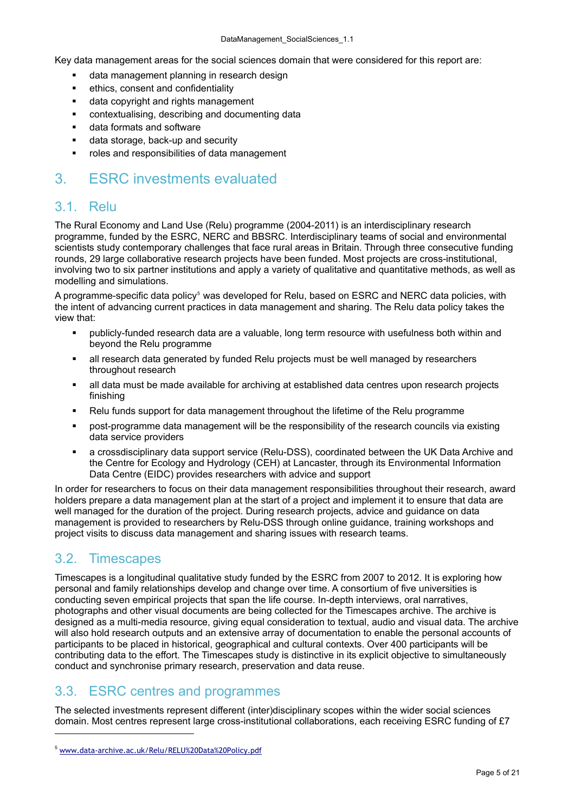<span id="page-4-0"></span>Key data management areas for the social sciences domain that were considered for this report are:

- data management planning in research design
- **EXECUTE:** ethics, consent and confidentiality
- data copyright and rights management
- contextualising, describing and documenting data
- data formats and software
- data storage, back-up and security
- **•** roles and responsibilities of data management

## 3. ESRC investments evaluated

#### 3.1. Relu

The Rural Economy and Land Use (Relu) programme (2004-2011) is an interdisciplinary research programme, funded by the ESRC, NERC and BBSRC. Interdisciplinary teams of social and environmental scientists study contemporary challenges that face rural areas in Britain. Through three consecutive funding rounds, 29 large collaborative research projects have been funded. Most projects are cross-institutional, involving two to six partner institutions and apply a variety of qualitative and quantitative methods, as well as modelling and simulations.

A programme-specific data policy<sup>5</sup> was developed for Relu, based on ESRC and NERC data policies, with the intent of advancing current practices in data management and sharing. The Relu data policy takes the view that:

- publicly-funded research data are a valuable, long term resource with usefulness both within and beyond the Relu progra[mm](#page-4-1)e
- all research data generated by funded Relu projects must be well managed by researchers throughout research
- all data must be made available for archiving at established data centres upon research projects finishing
- Relu funds support for data management throughout the lifetime of the Relu programme
- post-programme data management will be the responsibility of the research councils via existing data service providers
- a crossdisciplinary data support service (Relu-DSS), coordinated between the UK Data Archive and the Centre for Ecology and Hydrology (CEH) at Lancaster, through its Environmental Information Data Centre (EIDC) provides researchers with advice and support

In order for researchers to focus on their data management responsibilities throughout their research, award holders prepare a data management plan at the start of a project and implement it to ensure that data are well managed for the duration of the project. During research projects, advice and guidance on data management is provided to researchers by Relu-DSS through online guidance, training workshops and project visits to discuss data management and sharing issues with research teams.

### 3.2. Timescapes

l

Timescapes is a longitudinal qualitative study funded by the ESRC from 2007 to 2012. It is exploring how personal and family relationships develop and change over time. A consortium of five universities is conducting seven empirical projects that span the life course. In-depth interviews, oral narratives, photographs and other visual documents are being collected for the Timescapes archive. The archive is designed as a multi-media resource, giving equal consideration to textual, audio and visual data. The archive will also hold research outputs and an extensive array of documentation to enable the personal accounts of participants to be placed in historical, geographical and cultural contexts. Over 400 participants will be contributing data to the effort. The Timescapes study is distinctive in its explicit objective to simultaneously conduct and synchronise primary research, preservation and data reuse.

### 3.3. ESRC centres and programmes

The selected investments represent different (inter)disciplinary scopes within the wider social sciences domain. Most centres represent large cross-institutional collaborations, each receiving ESRC funding of £7

<span id="page-4-1"></span><sup>5</sup> www.data-archive.ac.uk/Relu/RELU%20Data%20Policy.pdf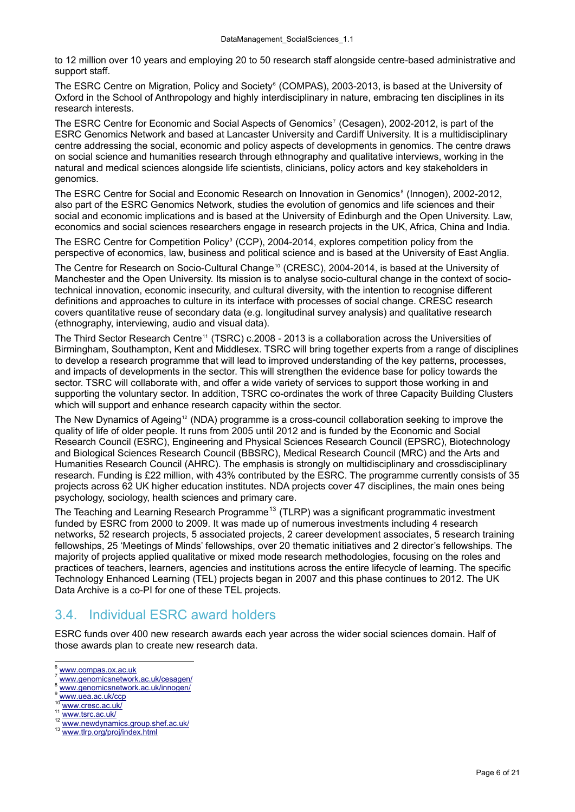<span id="page-5-0"></span>to 12 million over 10 years and employing 20 to 50 research staff alongside centre-based administrative and support staff.

The ESRC Centre on Migration, Policy and Society<sup>6</sup> (COMPAS), 2003-2013, is based at the University of Oxford in the School of Anthropology and highly interdisciplinary in nature, embracing ten disciplines in its research interests.

The ESRC Centre for Economic and Social Aspects of Genomics<sup>7</sup> (Cesagen), 2002-2012, is part of the ESRC Genomics Network and based at Lancaster [U](#page-5-1)niversity and Cardiff University. It is a multidisciplinary centre addressing the social, economic and policy aspects of developments in genomics. The centre draws on social science and humanities research through ethnography and qualitative interviews, working in the natural and medical sciences alongside life scientists, clinicians, [po](#page-5-2)licy actors and key stakeholders in genomics.

The ESRC Centre for Social and Economic Research on Innovation in Genomics<sup>8</sup> (Innogen), 2002-2012, also part of the ESRC Genomics Network, studies the evolution of genomics and life sciences and their social and economic implications and is based at the University of Edinburgh and the Open University. Law, economics and social sciences researchers engage in research projects in the UK, Africa, China and India.

The ESRC Centre for Competiti[on](#page-5-3) Policy<sup>9</sup> (CCP), 2004-2014, explores competition policy from the perspective of economics, law, business and political science and is based at the University of East Anglia.

The Centre for Research on Socio-Cultural Change<sup>10</sup> (CRESC), 2004-2014, is based at the University of Manchester and the Open University. Its mission is to analyse socio-cultural change in the context of sociotechnical innovation, economic insecurity[,](#page-5-4) and cultural diversity, with the intention to recognise different definitions and approaches to culture in its interface with processes of social change. CRESC research covers quantitative reuse of secondary data (e.g. lo[ng](#page-5-5)itudinal survey analysis) and qualitative research (ethnography, interviewing, audio and visual data).

The Third Sector Research Centre<sup>11</sup> (TSRC) c.2008 - 2013 is a collaboration across the Universities of Birmingham, Southampton, Kent and Middlesex. TSRC will bring together experts from a range of disciplines to develop a research programme that will lead to improved understanding of the key patterns, processes, and impacts of developments in the sector. This will strengthen the evidence base for policy towards the sector. TSRC will collaborate with, [a](#page-5-6)nd offer a wide variety of services to support those working in and supporting the voluntary sector. In addition, TSRC co-ordinates the work of three Capacity Building Clusters which will support and enhance research capacity within the sector.

The New Dynamics of Ageing<sup>12</sup> (NDA) programme is a cross-council collaboration seeking to improve the quality of life of older people. It runs from 2005 until 2012 and is funded by the Economic and Social Research Council (ESRC), Engineering and Physical Sciences Research Council (EPSRC), Biotechnology and Biological Sciences Research Council (BBSRC), Medical Research Council (MRC) and the Arts and Humanities Research Counci[l \(](#page-5-7)AHRC). The emphasis is strongly on multidisciplinary and crossdisciplinary research. Funding is £22 million, with 43% contributed by the ESRC. The programme currently consists of 35 projects across 62 UK higher education institutes. NDA projects cover 47 disciplines, the main ones being psychology, sociology, health sciences and primary care.

The Teaching and Learning Research Programme<sup>13</sup> (TLRP) was a significant programmatic investment funded by ESRC from 2000 to 2009. It was made up of numerous investments including 4 research networks, 52 research projects, 5 associated projects, 2 career development associates, 5 research training fellowships, 25 'Meetings of Minds' fellowships, over 20 thematic initiatives and 2 director's fellowships. The majority of projects applied qualitative or mixed m[od](#page-5-8)e research methodologies, focusing on the roles and practices of teachers, learners, agencies and institutions across the entire lifecycle of learning. The specific Technology Enhanced Learning (TEL) projects began in 2007 and this phase continues to 2012. The UK Data Archive is a co-PI for one of these TEL projects.

### 3.4. Individual ESRC award holders

ESRC funds over 400 new research awards each year across the wider social sciences domain. Half of those awards plan to create new research data.

l <sup>6</sup> www.compas.ox.ac.uk

www.genomicsnetwork.ac.uk/cesagen/

www.genomicsnetwork.ac.uk/innogen/

www.uea.ac.uk/ccp<br>10 www.cresc.ac.uk/

<span id="page-5-1"></span>

<sup>11</sup> www.tsrc.ac.uk/<br><sup>12</sup> <u>www.tsrc.ac.uk/</u><br><sup>13</sup> w<u>ww.tlrp.org/proj/index.html</u>

<span id="page-5-8"></span><span id="page-5-7"></span><span id="page-5-6"></span><span id="page-5-5"></span><span id="page-5-4"></span><span id="page-5-3"></span><span id="page-5-2"></span>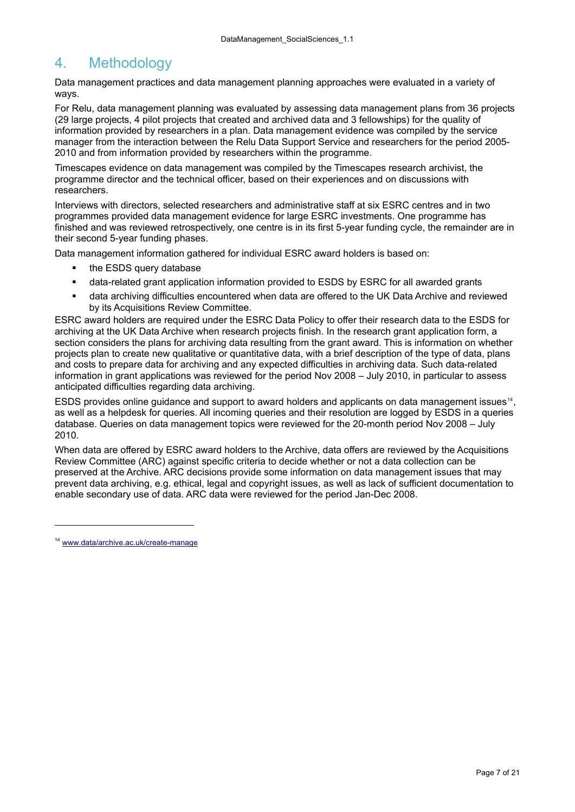## <span id="page-6-0"></span>4. Methodology

Data management practices and data management planning approaches were evaluated in a variety of ways.

For Relu, data management planning was evaluated by assessing data management plans from 36 projects (29 large projects, 4 pilot projects that created and archived data and 3 fellowships) for the quality of information provided by researchers in a plan. Data management evidence was compiled by the service manager from the interaction between the Relu Data Support Service and researchers for the period 2005- 2010 and from information provided by researchers within the programme.

Timescapes evidence on data management was compiled by the Timescapes research archivist, the programme director and the technical officer, based on their experiences and on discussions with researchers.

Interviews with directors, selected researchers and administrative staff at six ESRC centres and in two programmes provided data management evidence for large ESRC investments. One programme has finished and was reviewed retrospectively, one centre is in its first 5-year funding cycle, the remainder are in their second 5-year funding phases.

Data management information gathered for individual ESRC award holders is based on:

- the ESDS query database
- data-related grant application information provided to ESDS by ESRC for all awarded grants
- data archiving difficulties encountered when data are offered to the UK Data Archive and reviewed by its Acquisitions Review Committee.

ESRC award holders are required under the ESRC Data Policy to offer their research data to the ESDS for archiving at the UK Data Archive when research projects finish. In the research grant application form, a section considers the plans for archiving data resulting from the grant award. This is information on whether projects plan to create new qualitative or quantitative data, with a brief description of the type of data, plans and costs to prepare data for archiving and any expected difficulties in archiving data. Such data-related information in grant applications was reviewed for the period Nov 2008 – July 2010, in particular to assess anticipated difficulties regarding data archiving.

ESDS provides online guidance and support to award holders and applicants on data management issues<sup>14</sup>, as well as a helpdesk for queries. All incoming queries and their resolution are logged by ESDS in a queries database. Queries on data management topics were reviewed for the 20-month period Nov 2008 – July 2010.

When data are offered by ESRC award holders to the Archive, data offers are reviewed by the Acquisition[s](#page-6-1)  Review Committee (ARC) against specific criteria to decide whether or not a data collection can be preserved at the Archive. ARC decisions provide some information on data management issues that may prevent data archiving, e.g. ethical, legal and copyright issues, as well as lack of sufficient documentation to enable secondary use of data. ARC data were reviewed for the period Jan-Dec 2008.

<span id="page-6-1"></span><sup>14</sup> www.data/archive.ac.uk/create-manage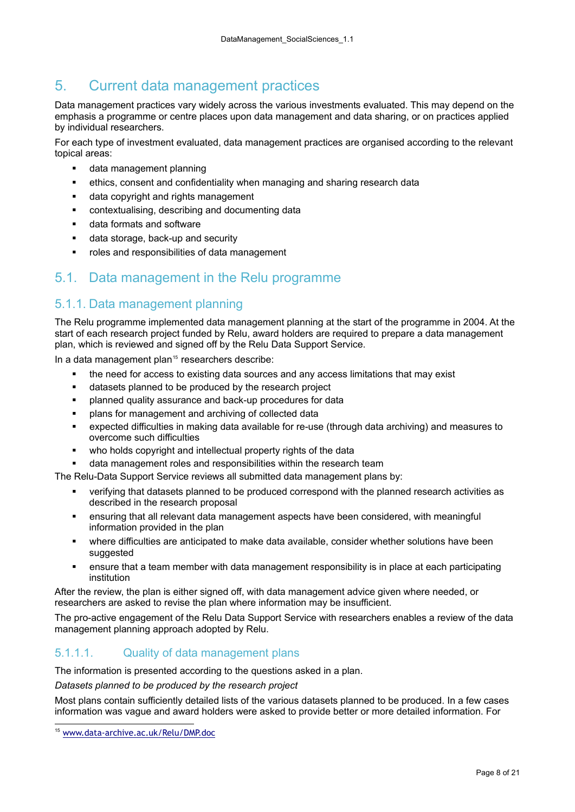### <span id="page-7-0"></span>5. Current data management practices

Data management practices vary widely across the various investments evaluated. This may depend on the emphasis a programme or centre places upon data management and data sharing, or on practices applied by individual researchers.

For each type of investment evaluated, data management practices are organised according to the relevant topical areas:

- data management planning
- ethics, consent and confidentiality when managing and sharing research data
- **data copyright and rights management**
- **EXECONTERT** contextualising, describing and documenting data
- data formats and software
- data storage, back-up and security
- roles and responsibilities of data management

#### 5.1. Data management in the Relu programme

#### 5.1.1. Data management planning

The Relu programme implemented data management planning at the start of the programme in 2004. At the start of each research project funded by Relu, award holders are required to prepare a data management plan, which is reviewed and signed off by the Relu Data Support Service.

In a data management plan<sup>15</sup> researchers describe:

- the need for access to existing data sources and any access limitations that may exist
- datasets planned to be produced by the research project
- planned quality ass[ur](#page-7-1)ance and back-up procedures for data
- **•** plans for management and archiving of collected data
- expected difficulties in making data available for re-use (through data archiving) and measures to overcome such difficulties
- who holds copyright and intellectual property rights of the data
- data management roles and responsibilities within the research team

The Relu-Data Support Service reviews all submitted data management plans by:

- verifying that datasets planned to be produced correspond with the planned research activities as described in the research proposal
- ensuring that all relevant data management aspects have been considered, with meaningful information provided in the plan
- where difficulties are anticipated to make data available, consider whether solutions have been suggested
- ensure that a team member with data management responsibility is in place at each participating institution

After the review, the plan is either signed off, with data management advice given where needed, or researchers are asked to revise the plan where information may be insufficient.

The pro-active engagement of the Relu Data Support Service with researchers enables a review of the data management planning approach adopted by Relu.

#### 5.1.1.1. Quality of data management plans

The information is presented according to the questions asked in a plan.

*Datasets planned to be produced by the research project* 

Most plans contain sufficiently detailed lists of the various datasets planned to be produced. In a few cases information was vague and award holders were asked to provide better or more detailed information. For

<span id="page-7-1"></span><sup>15</sup> www.data-archive.ac.uk/Relu/DMP.doc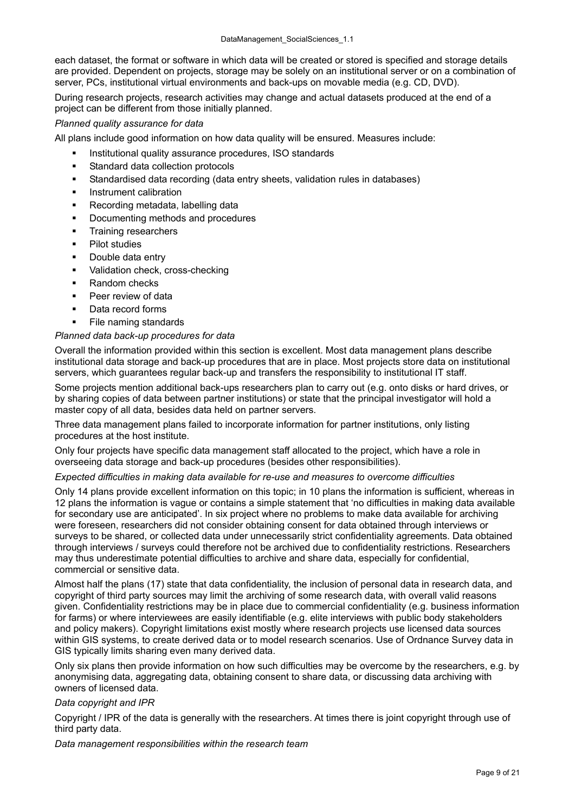each dataset, the format or software in which data will be created or stored is specified and storage details are provided. Dependent on projects, storage may be solely on an institutional server or on a combination of server, PCs, institutional virtual environments and back-ups on movable media (e.g. CD, DVD).

During research projects, research activities may change and actual datasets produced at the end of a project can be different from those initially planned.

#### *Planned quality assurance for data*

All plans include good information on how data quality will be ensured. Measures include:

- Institutional quality assurance procedures, ISO standards
- **Standard data collection protocols**
- Standardised data recording (data entry sheets, validation rules in databases)
- Instrument calibration
- **Recording metadata, labelling data**
- **•** Documenting methods and procedures
- **Training researchers**
- Pilot studies
- Double data entry
- Validation check, cross-checking
- Random checks
- Peer review of data
- Data record forms
- File naming standards

#### *Planned data back-up procedures for data*

Overall the information provided within this section is excellent. Most data management plans describe institutional data storage and back-up procedures that are in place. Most projects store data on institutional servers, which guarantees regular back-up and transfers the responsibility to institutional IT staff.

Some projects mention additional back-ups researchers plan to carry out (e.g. onto disks or hard drives, or by sharing copies of data between partner institutions) or state that the principal investigator will hold a master copy of all data, besides data held on partner servers.

Three data management plans failed to incorporate information for partner institutions, only listing procedures at the host institute.

Only four projects have specific data management staff allocated to the project, which have a role in overseeing data storage and back-up procedures (besides other responsibilities).

#### *Expected difficulties in making data available for re-use and measures to overcome difficulties*

Only 14 plans provide excellent information on this topic; in 10 plans the information is sufficient, whereas in 12 plans the information is vague or contains a simple statement that 'no difficulties in making data available for secondary use are anticipated'. In six project where no problems to make data available for archiving were foreseen, researchers did not consider obtaining consent for data obtained through interviews or surveys to be shared, or collected data under unnecessarily strict confidentiality agreements. Data obtained through interviews / surveys could therefore not be archived due to confidentiality restrictions. Researchers may thus underestimate potential difficulties to archive and share data, especially for confidential, commercial or sensitive data.

Almost half the plans (17) state that data confidentiality, the inclusion of personal data in research data, and copyright of third party sources may limit the archiving of some research data, with overall valid reasons given. Confidentiality restrictions may be in place due to commercial confidentiality (e.g. business information for farms) or where interviewees are easily identifiable (e.g. elite interviews with public body stakeholders and policy makers). Copyright limitations exist mostly where research projects use licensed data sources within GIS systems, to create derived data or to model research scenarios. Use of Ordnance Survey data in GIS typically limits sharing even many derived data.

Only six plans then provide information on how such difficulties may be overcome by the researchers, e.g. by anonymising data, aggregating data, obtaining consent to share data, or discussing data archiving with owners of licensed data.

#### *Data copyright and IPR*

Copyright / IPR of the data is generally with the researchers. At times there is joint copyright through use of third party data.

*Data management responsibilities within the research team*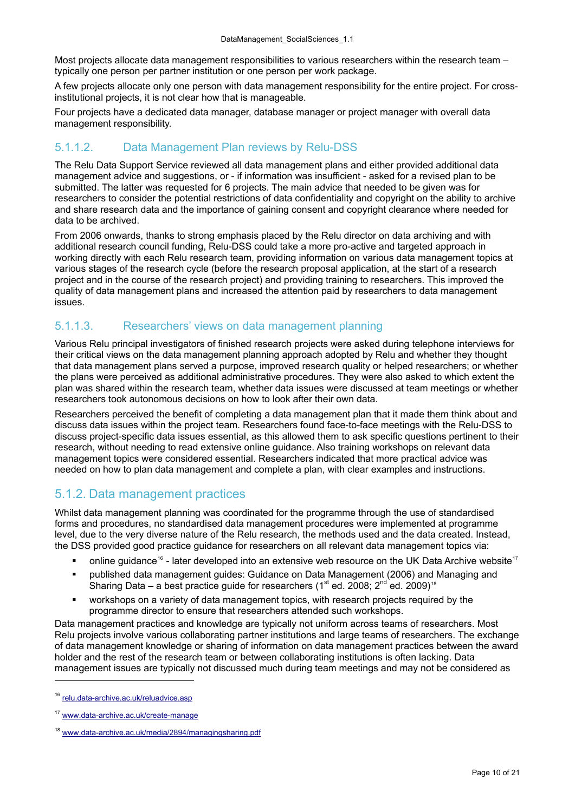<span id="page-9-0"></span>Most projects allocate data management responsibilities to various researchers within the research team – typically one person per partner institution or one person per work package.

A few projects allocate only one person with data management responsibility for the entire project. For crossinstitutional projects, it is not clear how that is manageable.

Four projects have a dedicated data manager, database manager or project manager with overall data management responsibility.

#### 5.1.1.2. Data Management Plan reviews by Relu-DSS

The Relu Data Support Service reviewed all data management plans and either provided additional data management advice and suggestions, or - if information was insufficient - asked for a revised plan to be submitted. The latter was requested for 6 projects. The main advice that needed to be given was for researchers to consider the potential restrictions of data confidentiality and copyright on the ability to archive and share research data and the importance of gaining consent and copyright clearance where needed for data to be archived.

From 2006 onwards, thanks to strong emphasis placed by the Relu director on data archiving and with additional research council funding, Relu-DSS could take a more pro-active and targeted approach in working directly with each Relu research team, providing information on various data management topics at various stages of the research cycle (before the research proposal application, at the start of a research project and in the course of the research project) and providing training to researchers. This improved the quality of data management plans and increased the attention paid by researchers to data management issues.

#### 5.1.1.3. Researchers' views on data management planning

Various Relu principal investigators of finished research projects were asked during telephone interviews for their critical views on the data management planning approach adopted by Relu and whether they thought that data management plans served a purpose, improved research quality or helped researchers; or whether the plans were perceived as additional administrative procedures. They were also asked to which extent the plan was shared within the research team, whether data issues were discussed at team meetings or whether researchers took autonomous decisions on how to look after their own data.

Researchers perceived the benefit of completing a data management plan that it made them think about and discuss data issues within the project team. Researchers found face-to-face meetings with the Relu-DSS to discuss project-specific data issues essential, as this allowed them to ask specific questions pertinent to their research, without needing to read extensive online guidance. Also training workshops on relevant data management topics were considered essential. Researchers indicated that more practical advice was needed on how to plan data management and complete a plan, with clear examples and instructions.

#### 5.1.2. Data management practices

Whilst data management planning was coordinated for the programme through the use of standardised forms and procedures, no standardised data management procedures were implemented at programme level, due to the very diverse nature of the Relu research, the methods used and the data created. Instead, the DSS provided good practice guidance for researchers on all relevant data management topics via:

- online quidance<sup>16</sup> later developed into an extensive web resource on the UK Data Archive website<sup>17</sup>
- published data management guides: Guidance on Data Management (2006) and Managing and Sharing Data – a best practice guide for researchers ( $1<sup>st</sup>$  ed. 2008;  $2<sup>nd</sup>$  ed. 2009)<sup>18</sup>
- workshops on a variety of data management topics, with research projects required by the programme dire[ct](#page-9-1)or to ensure that researchers attended such workshops.

Data management practices and knowledge are typically not uniform across teams of researchers. Most Relu projects involve various collaborating partner institutions and large teams of resear[che](#page-9-2)rs. The exchange of data management knowledge or sharing of information on data management practices between the award holder and the rest of the research team or between collaborating institutions is often lacking. Data management issues are typically not discussed much during team meetings and may not be considered as

<sup>&</sup>lt;sup>16</sup> relu.data-archive.ac.uk/reluadvice.asp

<sup>&</sup>lt;sup>17</sup> www.data-archive.ac.uk/create-manage

<span id="page-9-2"></span><span id="page-9-1"></span><sup>&</sup>lt;sup>18</sup> www.data-archive.ac.uk/media/2894/managingsharing.pdf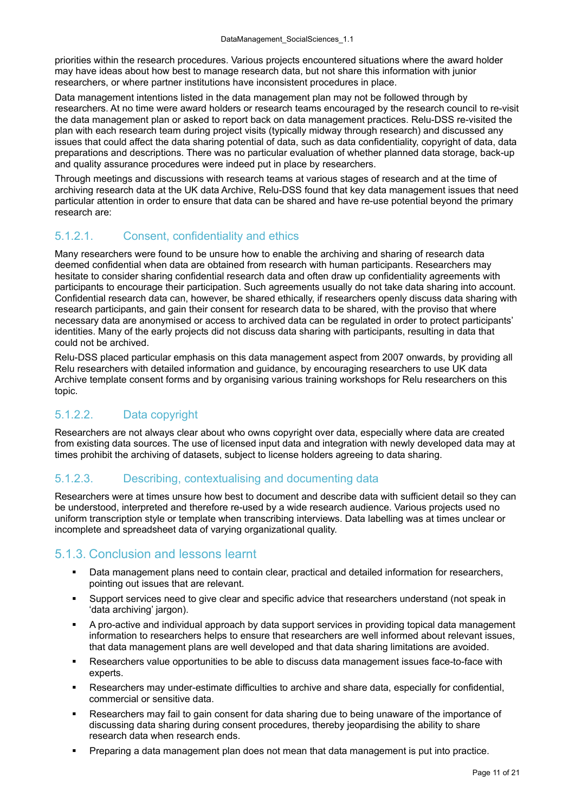<span id="page-10-0"></span>priorities within the research procedures. Various projects encountered situations where the award holder may have ideas about how best to manage research data, but not share this information with junior researchers, or where partner institutions have inconsistent procedures in place.

Data management intentions listed in the data management plan may not be followed through by researchers. At no time were award holders or research teams encouraged by the research council to re-visit the data management plan or asked to report back on data management practices. Relu-DSS re-visited the plan with each research team during project visits (typically midway through research) and discussed any issues that could affect the data sharing potential of data, such as data confidentiality, copyright of data, data preparations and descriptions. There was no particular evaluation of whether planned data storage, back-up and quality assurance procedures were indeed put in place by researchers.

Through meetings and discussions with research teams at various stages of research and at the time of archiving research data at the UK data Archive, Relu-DSS found that key data management issues that need particular attention in order to ensure that data can be shared and have re-use potential beyond the primary research are:

#### 5.1.2.1. Consent, confidentiality and ethics

Many researchers were found to be unsure how to enable the archiving and sharing of research data deemed confidential when data are obtained from research with human participants. Researchers may hesitate to consider sharing confidential research data and often draw up confidentiality agreements with participants to encourage their participation. Such agreements usually do not take data sharing into account. Confidential research data can, however, be shared ethically, if researchers openly discuss data sharing with research participants, and gain their consent for research data to be shared, with the proviso that where necessary data are anonymised or access to archived data can be regulated in order to protect participants' identities. Many of the early projects did not discuss data sharing with participants, resulting in data that could not be archived.

Relu-DSS placed particular emphasis on this data management aspect from 2007 onwards, by providing all Relu researchers with detailed information and guidance, by encouraging researchers to use UK data Archive template consent forms and by organising various training workshops for Relu researchers on this topic.

#### 5.1.2.2. Data copyright

Researchers are not always clear about who owns copyright over data, especially where data are created from existing data sources. The use of licensed input data and integration with newly developed data may at times prohibit the archiving of datasets, subject to license holders agreeing to data sharing.

#### 5.1.2.3. Describing, contextualising and documenting data

Researchers were at times unsure how best to document and describe data with sufficient detail so they can be understood, interpreted and therefore re-used by a wide research audience. Various projects used no uniform transcription style or template when transcribing interviews. Data labelling was at times unclear or incomplete and spreadsheet data of varying organizational quality.

#### 5.1.3. Conclusion and lessons learnt

- Data management plans need to contain clear, practical and detailed information for researchers, pointing out issues that are relevant.
- Support services need to give clear and specific advice that researchers understand (not speak in 'data archiving' jargon).
- A pro-active and individual approach by data support services in providing topical data management information to researchers helps to ensure that researchers are well informed about relevant issues, that data management plans are well developed and that data sharing limitations are avoided.
- Researchers value opportunities to be able to discuss data management issues face-to-face with experts.
- Researchers may under-estimate difficulties to archive and share data, especially for confidential, commercial or sensitive data.
- Researchers may fail to gain consent for data sharing due to being unaware of the importance of discussing data sharing during consent procedures, thereby jeopardising the ability to share research data when research ends.
- Preparing a data management plan does not mean that data management is put into practice.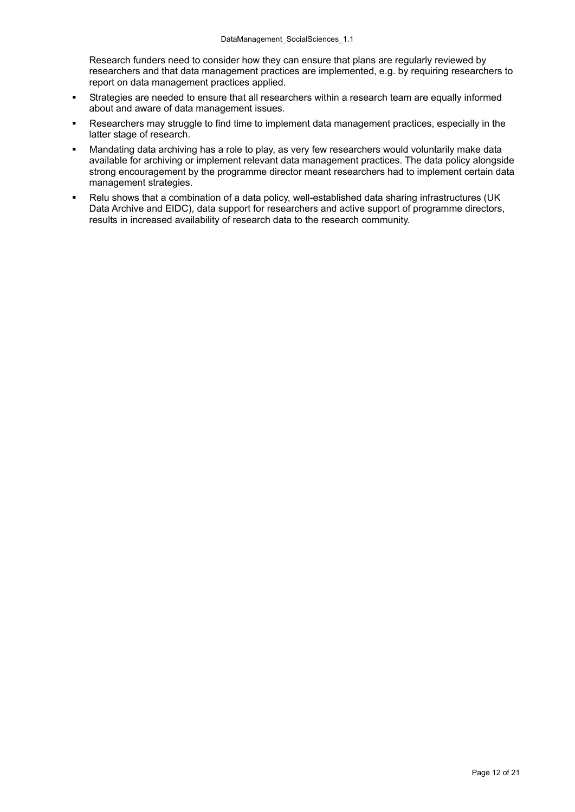Research funders need to consider how they can ensure that plans are regularly reviewed by researchers and that data management practices are implemented, e.g. by requiring researchers to report on data management practices applied.

- Strategies are needed to ensure that all researchers within a research team are equally informed about and aware of data management issues.
- Researchers may struggle to find time to implement data management practices, especially in the latter stage of research.
- Mandating data archiving has a role to play, as very few researchers would voluntarily make data available for archiving or implement relevant data management practices. The data policy alongside strong encouragement by the programme director meant researchers had to implement certain data management strategies.
- Relu shows that a combination of a data policy, well-established data sharing infrastructures (UK Data Archive and EIDC), data support for researchers and active support of programme directors, results in increased availability of research data to the research community.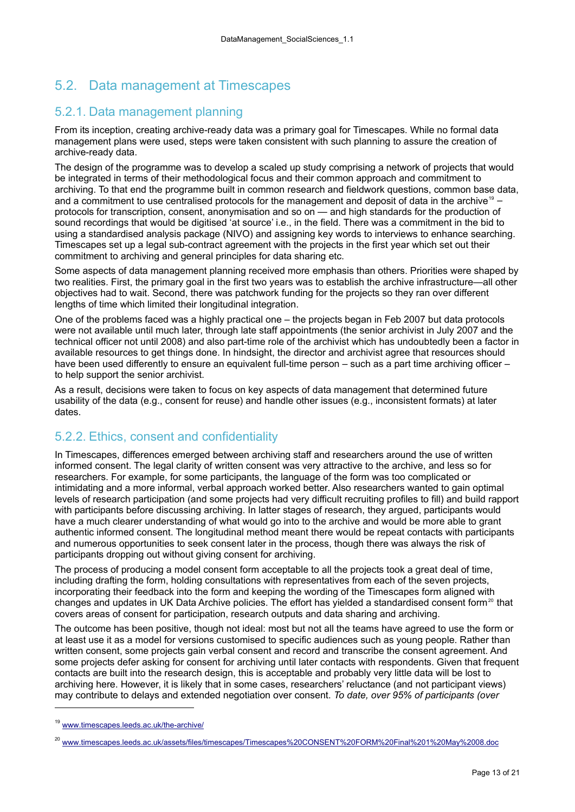#### <span id="page-12-0"></span>5.2. Data management at Timescapes

#### 5.2.1. Data management planning

From its inception, creating archive-ready data was a primary goal for Timescapes. While no formal data management plans were used, steps were taken consistent with such planning to assure the creation of archive-ready data.

The design of the programme was to develop a scaled up study comprising a network of projects that would be integrated in terms of their methodological focus and their common approach and commitment to archiving. To that end the programme built in common research and fieldwork questions, common base data, and a commitment to use centralised protocols for the management and deposit of data in the archive<sup>19</sup> – protocols for transcription, consent, anonymisation and so on — and high standards for the production of sound recordings that would be digitised 'at source' i.e., in the field. There was a commitment in the bid to using a standardised analysis package (NIVO) and assigning key words to interviews to enhance searching. Timescapes set up a legal sub-contract agreement with the projects in the first year which set out thei[r](#page-12-1)  commitment to archiving and general principles for data sharing etc.

Some aspects of data management planning received more emphasis than others. Priorities were shaped by two realities. First, the primary goal in the first two years was to establish the archive infrastructure—all other objectives had to wait. Second, there was patchwork funding for the projects so they ran over different lengths of time which limited their longitudinal integration.

One of the problems faced was a highly practical one – the projects began in Feb 2007 but data protocols were not available until much later, through late staff appointments (the senior archivist in July 2007 and the technical officer not until 2008) and also part-time role of the archivist which has undoubtedly been a factor in available resources to get things done. In hindsight, the director and archivist agree that resources should have been used differently to ensure an equivalent full-time person – such as a part time archiving officer – to help support the senior archivist.

As a result, decisions were taken to focus on key aspects of data management that determined future usability of the data (e.g., consent for reuse) and handle other issues (e.g., inconsistent formats) at later dates.

#### 5.2.2. Ethics, consent and confidentiality

In Timescapes, differences emerged between archiving staff and researchers around the use of written informed consent. The legal clarity of written consent was very attractive to the archive, and less so for researchers. For example, for some participants, the language of the form was too complicated or intimidating and a more informal, verbal approach worked better. Also researchers wanted to gain optimal levels of research participation (and some projects had very difficult recruiting profiles to fill) and build rapport with participants before discussing archiving. In latter stages of research, they argued, participants would have a much clearer understanding of what would go into to the archive and would be more able to grant authentic informed consent. The longitudinal method meant there would be repeat contacts with participants and numerous opportunities to seek consent later in the process, though there was always the risk of participants dropping out without giving consent for archiving.

The process of producing a model consent form acceptable to all the projects took a great deal of time, including drafting the form, holding consultations with representatives from each of the seven projects, incorporating their feedback into the form and keeping the wording of the Timescapes form aligned with changes and updates in UK Data Archive policies. The effort has yielded a standardised consent form<sup>20</sup> that covers areas of consent for participation, research outputs and data sharing and archiving.

The outcome has been positive, though not ideal: most but not all the teams have agreed to use the form or at least use it as a model for versions customised to specific audiences such as young people. Rather than written consent, some projects gain verbal consent and record and transcribe the consent agreement. [A](#page-12-2)nd some projects defer asking for consent for archiving until later contacts with respondents. Given that frequent contacts are built into the research design, this is acceptable and probably very little data will be lost to archiving here. However, it is likely that in some cases, researchers' reluctance (and not participant views) may contribute to delays and extended negotiation over consent. *To date, over 95% of participants (over* 

<sup>19</sup> www.timescapes.leeds.ac.uk/the-archive/

<span id="page-12-2"></span><span id="page-12-1"></span><sup>&</sup>lt;sup>20</sup> www.timescap<u>es.leeds.ac.uk/assets/files/timescapes/Timescapes%20CONSENT%20FORM%20Final%201%20May%2008.doc</u>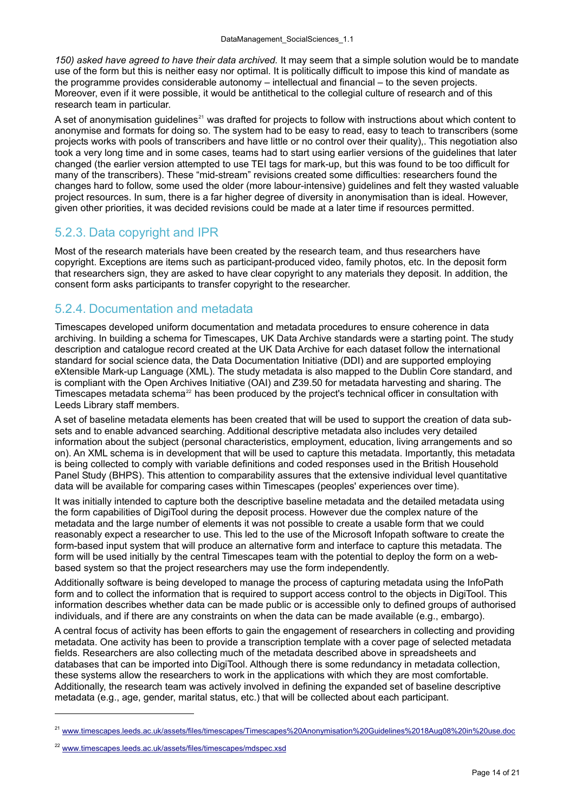<span id="page-13-0"></span>*150) asked have agreed to have their data archived.* It may seem that a simple solution would be to mandate use of the form but this is neither easy nor optimal. It is politically difficult to impose this kind of mandate as the programme provides considerable autonomy – intellectual and financial – to the seven projects. Moreover, even if it were possible, it would be antithetical to the collegial culture of research and of this research team in particular.

A set of anonymisation quidelines<sup>21</sup> was drafted for projects to follow with instructions about which content to anonymise and formats for doing so. The system had to be easy to read, easy to teach to transcribers (some projects works with pools of transcribers and have little or no control over their quality),. This negotiation also took a very long time and in some cases, teams had to start using earlier versions of the guidelines that later changed (the earlier version atte[mp](#page-13-1)ted to use TEI tags for mark-up, but this was found to be too difficult for many of the transcribers). These "mid-stream" revisions created some difficulties: researchers found the changes hard to follow, some used the older (more labour-intensive) guidelines and felt they wasted valuable project resources. In sum, there is a far higher degree of diversity in anonymisation than is ideal. However, given other priorities, it was decided revisions could be made at a later time if resources permitted.

#### 5.2.3. Data copyright and IPR

Most of the research materials have been created by the research team, and thus researchers have copyright. Exceptions are items such as participant-produced video, family photos, etc. In the deposit form that researchers sign, they are asked to have clear copyright to any materials they deposit. In addition, the consent form asks participants to transfer copyright to the researcher.

#### 5.2.4. Documentation and metadata

Timescapes developed uniform documentation and metadata procedures to ensure coherence in data archiving. In building a schema for Timescapes, UK Data Archive standards were a starting point. The study description and catalogue record created at the UK Data Archive for each dataset follow the international standard for social science data, the Data Documentation Initiative (DDI) and are supported employing eXtensible Mark-up Language (XML). The study metadata is also mapped to the Dublin Core standard, and is compliant with the Open Archives Initiative (OAI) and Z39.50 for metadata harvesting and sharing. The Timescapes metadata schema<sup>22</sup> has been produced by the project's technical officer in consultation with Leeds Library staff members.

A set of baseline metadata elements has been created that will be used to support the creation of data subsets and to enable advanced searching. Additional descriptive metadata also includes very detailed information about the subject ([pe](#page-13-2)rsonal characteristics, employment, education, living arrangements and so on). An XML schema is in development that will be used to capture this metadata. Importantly, this metadata is being collected to comply with variable definitions and coded responses used in the British Household Panel Study (BHPS). This attention to comparability assures that the extensive individual level quantitative data will be available for comparing cases within Timescapes (peoples' experiences over time).

It was initially intended to capture both the descriptive baseline metadata and the detailed metadata using the form capabilities of DigiTool during the deposit process. However due the complex nature of the metadata and the large number of elements it was not possible to create a usable form that we could reasonably expect a researcher to use. This led to the use of the Microsoft Infopath software to create the form-based input system that will produce an alternative form and interface to capture this metadata. The form will be used initially by the central Timescapes team with the potential to deploy the form on a webbased system so that the project researchers may use the form independently.

Additionally software is being developed to manage the process of capturing metadata using the InfoPath form and to collect the information that is required to support access control to the objects in DigiTool. This information describes whether data can be made public or is accessible only to defined groups of authorised individuals, and if there are any constraints on when the data can be made available (e.g., embargo).

A central focus of activity has been efforts to gain the engagement of researchers in collecting and providing metadata. One activity has been to provide a transcription template with a cover page of selected metadata fields. Researchers are also collecting much of the metadata described above in spreadsheets and databases that can be imported into DigiTool. Although there is some redundancy in metadata collection, these systems allow the researchers to work in the applications with which they are most comfortable. Additionally, the research team was actively involved in defining the expanded set of baseline descriptive metadata (e.g., age, gender, marital status, etc.) that will be collected about each participant.

<sup>&</sup>lt;sup>21</sup> www.timescapes.leeds.ac.uk/assets/files/timescapes/Timescapes%20Anonymisation%20Guidelines%2018Aug08%20in%20use.doc

<span id="page-13-2"></span><span id="page-13-1"></span><sup>&</sup>lt;sup>22</sup> www.timescapes.leeds.ac.uk/assets/files/timescapes/mdspec.xsd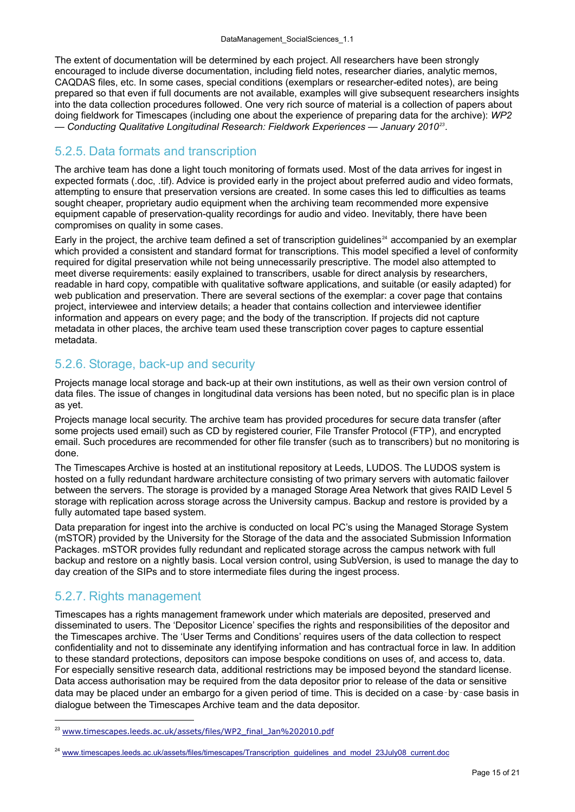<span id="page-14-0"></span>The extent of documentation will be determined by each project. All researchers have been strongly encouraged to include diverse documentation, including field notes, researcher diaries, analytic memos, CAQDAS files, etc. In some cases, special conditions (exemplars or researcher-edited notes), are being prepared so that even if full documents are not available, examples will give subsequent researchers insights into the data collection procedures followed. One very rich source of material is a collection of papers about doing fieldwork for Timescapes (including one about the experience of preparing data for the archive): *WP2 — Conducting Qualitative Longitudinal Research: Fieldwork Experiences — January 201023.*

#### 5.2.5. Data formats and transcription

The archive team has done a light touch monitoring of formats used. Most of the data arriv[e](#page-14-1)s for ingest in expected formats (.doc, .tif). Advice is provided early in the project about preferred audio and video formats, attempting to ensure that preservation versions are created. In some cases this led to difficulties as teams sought cheaper, proprietary audio equipment when the archiving team recommended more expensive equipment capable of preservation-quality recordings for audio and video. Inevitably, there have been compromises on quality in some cases.

Early in the project, the archive team defined a set of transcription guidelines<sup>24</sup> accompanied by an exemplar which provided a consistent and standard format for transcriptions. This model specified a level of conformity required for digital preservation while not being unnecessarily prescriptive. The model also attempted to meet diverse requirements: easily explained to transcribers, usable for direct analysis by researchers, readable in hard copy, compatible with qualitative software applications, and [su](#page-14-2)itable (or easily adapted) for web publication and preservation. There are several sections of the exemplar: a cover page that contains project, interviewee and interview details; a header that contains collection and interviewee identifier information and appears on every page; and the body of the transcription. If projects did not capture metadata in other places, the archive team used these transcription cover pages to capture essential metadata.

#### 5.2.6. Storage, back-up and security

Projects manage local storage and back-up at their own institutions, as well as their own version control of data files. The issue of changes in longitudinal data versions has been noted, but no specific plan is in place as yet.

Projects manage local security. The archive team has provided procedures for secure data transfer (after some projects used email) such as CD by registered courier, File Transfer Protocol (FTP), and encrypted email. Such procedures are recommended for other file transfer (such as to transcribers) but no monitoring is done.

The Timescapes Archive is hosted at an institutional repository at Leeds, LUDOS. The LUDOS system is hosted on a fully redundant hardware architecture consisting of two primary servers with automatic failover between the servers. The storage is provided by a managed Storage Area Network that gives RAID Level 5 storage with replication across storage across the University campus. Backup and restore is provided by a fully automated tape based system.

Data preparation for ingest into the archive is conducted on local PC's using the Managed Storage System (mSTOR) provided by the University for the Storage of the data and the associated Submission Information Packages. mSTOR provides fully redundant and replicated storage across the campus network with full backup and restore on a nightly basis. Local version control, using SubVersion, is used to manage the day to day creation of the SIPs and to store intermediate files during the ingest process.

#### 5.2.7. Rights management

l

Timescapes has a rights management framework under which materials are deposited, preserved and disseminated to users. The 'Depositor Licence' specifies the rights and responsibilities of the depositor and the Timescapes archive. The 'User Terms and Conditions' requires users of the data collection to respect confidentiality and not to disseminate any identifying information and has contractual force in law. In addition to these standard protections, depositors can impose bespoke conditions on uses of, and access to, data. For especially sensitive research data, additional restrictions may be imposed beyond the standard license. Data access authorisation may be required from the data depositor prior to release of the data or sensitive data may be placed under an embargo for a given period of time. This is decided on a case-by-case basis in dialogue between the Timescapes Archive team and the data depositor.

<sup>&</sup>lt;sup>23</sup> www.timescapes.leeds.ac.uk/assets/files/WP2\_final\_Jan%202010.pdf

<span id="page-14-2"></span><span id="page-14-1"></span><sup>&</sup>lt;sup>24</sup> www.timescapes.leeds.ac.uk/assets/files/timescapes/Transcription\_guidelines\_and\_model\_23July08\_current.doc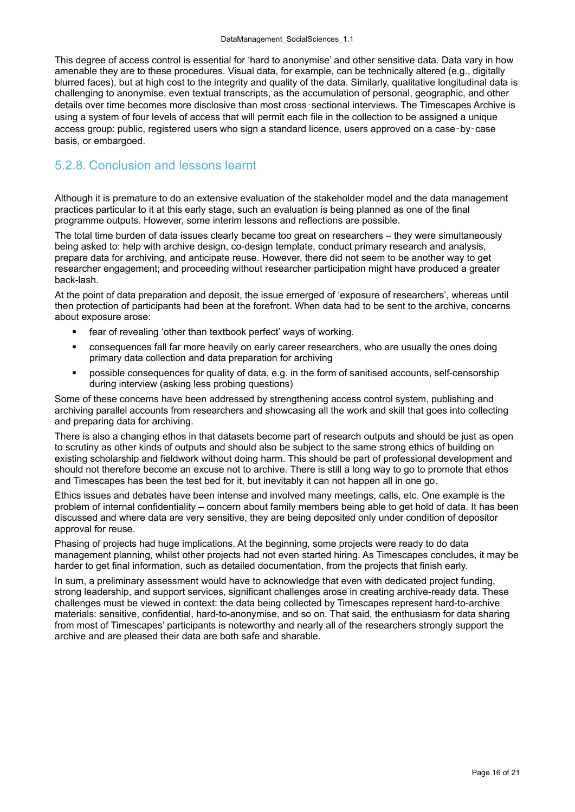<span id="page-15-0"></span>This degree of access control is essential for 'hard to anonymise' and other sensitive data. Data vary in how amenable they are to these procedures. Visual data, for example, can be technically altered (e.g., digitally blurred faces), but at high cost to the integrity and quality of the data. Similarly, qualitative longitudinal data is challenging to anonymise, even textual transcripts, as the accumulation of personal, geographic, and other details over time becomes more disclosive than most cross‑sectional interviews. The Timescapes Archive is using a system of four levels of access that will permit each file in the collection to be assigned a unique access group: public, registered users who sign a standard licence, users approved on a case‑by‑case basis, or embargoed.

#### 5.2.8. Conclusion and lessons learnt

Although it is premature to do an extensive evaluation of the stakeholder model and the data management practices particular to it at this early stage, such an evaluation is being planned as one of the final programme outputs. However, some interim lessons and reflections are possible.

The total time burden of data issues clearly became too great on researchers – they were simultaneously being asked to: help with archive design, co-design template, conduct primary research and analysis, prepare data for archiving, and anticipate reuse. However, there did not seem to be another way to get researcher engagement; and proceeding without researcher participation might have produced a greater back-lash.

At the point of data preparation and deposit, the issue emerged of 'exposure of researchers', whereas until then protection of participants had been at the forefront. When data had to be sent to the archive, concerns about exposure arose:

- **fear of revealing 'other than textbook perfect' ways of working.**
- consequences fall far more heavily on early career researchers, who are usually the ones doing primary data collection and data preparation for archiving
- possible consequences for quality of data, e.g. in the form of sanitised accounts, self-censorship during interview (asking less probing questions)

Some of these concerns have been addressed by strengthening access control system, publishing and archiving parallel accounts from researchers and showcasing all the work and skill that goes into collecting and preparing data for archiving.

There is also a changing ethos in that datasets become part of research outputs and should be just as open to scrutiny as other kinds of outputs and should also be subject to the same strong ethics of building on existing scholarship and fieldwork without doing harm. This should be part of professional development and should not therefore become an excuse not to archive. There is still a long way to go to promote that ethos and Timescapes has been the test bed for it, but inevitably it can not happen all in one go.

Ethics issues and debates have been intense and involved many meetings, calls, etc. One example is the problem of internal confidentiality – concern about family members being able to get hold of data. It has been discussed and where data are very sensitive, they are being deposited only under condition of depositor approval for reuse.

Phasing of projects had huge implications. At the beginning, some projects were ready to do data management planning, whilst other projects had not even started hiring. As Timescapes concludes, it may be harder to get final information, such as detailed documentation, from the projects that finish early.

In sum, a preliminary assessment would have to acknowledge that even with dedicated project funding, strong leadership, and support services, significant challenges arose in creating archive-ready data. These challenges must be viewed in context: the data being collected by Timescapes represent hard-to-archive materials: sensitive, confidential, hard-to-anonymise, and so on. That said, the enthusiasm for data sharing from most of Timescapes' participants is noteworthy and nearly all of the researchers strongly support the archive and are pleased their data are both safe and sharable.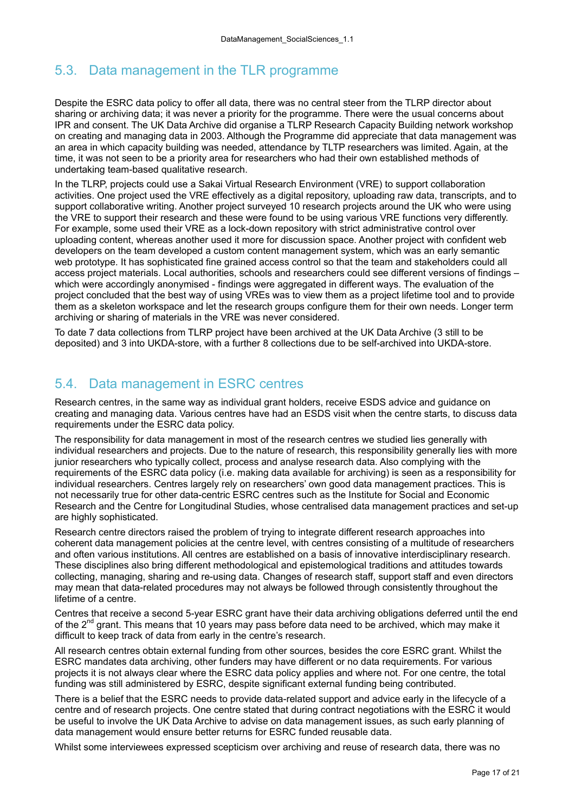### <span id="page-16-0"></span>5.3. Data management in the TLR programme

Despite the ESRC data policy to offer all data, there was no central steer from the TLRP director about sharing or archiving data; it was never a priority for the programme. There were the usual concerns about IPR and consent. The UK Data Archive did organise a TLRP Research Capacity Building network workshop on creating and managing data in 2003. Although the Programme did appreciate that data management was an area in which capacity building was needed, attendance by TLTP researchers was limited. Again, at the time, it was not seen to be a priority area for researchers who had their own established methods of undertaking team-based qualitative research.

In the TLRP, projects could use a Sakai Virtual Research Environment (VRE) to support collaboration activities. One project used the VRE effectively as a digital repository, uploading raw data, transcripts, and to support collaborative writing. Another project surveyed 10 research projects around the UK who were using the VRE to support their research and these were found to be using various VRE functions very differently. For example, some used their VRE as a lock-down repository with strict administrative control over uploading content, whereas another used it more for discussion space. Another project with confident web developers on the team developed a custom content management system, which was an early semantic web prototype. It has sophisticated fine grained access control so that the team and stakeholders could all access project materials. Local authorities, schools and researchers could see different versions of findings – which were accordingly anonymised - findings were aggregated in different ways. The evaluation of the project concluded that the best way of using VREs was to view them as a project lifetime tool and to provide them as a skeleton workspace and let the research groups configure them for their own needs. Longer term archiving or sharing of materials in the VRE was never considered.

To date 7 data collections from TLRP project have been archived at the UK Data Archive (3 still to be deposited) and 3 into UKDA-store, with a further 8 collections due to be self-archived into UKDA-store.

#### 5.4. Data management in ESRC centres

Research centres, in the same way as individual grant holders, receive ESDS advice and guidance on creating and managing data. Various centres have had an ESDS visit when the centre starts, to discuss data requirements under the ESRC data policy.

The responsibility for data management in most of the research centres we studied lies generally with individual researchers and projects. Due to the nature of research, this responsibility generally lies with more junior researchers who typically collect, process and analyse research data. Also complying with the requirements of the ESRC data policy (i.e. making data available for archiving) is seen as a responsibility for individual researchers. Centres largely rely on researchers' own good data management practices. This is not necessarily true for other data-centric ESRC centres such as the Institute for Social and Economic Research and the Centre for Longitudinal Studies, whose centralised data management practices and set-up are highly sophisticated.

Research centre directors raised the problem of trying to integrate different research approaches into coherent data management policies at the centre level, with centres consisting of a multitude of researchers and often various institutions. All centres are established on a basis of innovative interdisciplinary research. These disciplines also bring different methodological and epistemological traditions and attitudes towards collecting, managing, sharing and re-using data. Changes of research staff, support staff and even directors may mean that data-related procedures may not always be followed through consistently throughout the lifetime of a centre.

Centres that receive a second 5-year ESRC grant have their data archiving obligations deferred until the end of the 2<sup>nd</sup> grant. This means that 10 years may pass before data need to be archived, which may make it difficult to keep track of data from early in the centre's research.

All research centres obtain external funding from other sources, besides the core ESRC grant. Whilst the ESRC mandates data archiving, other funders may have different or no data requirements. For various projects it is not always clear where the ESRC data policy applies and where not. For one centre, the total funding was still administered by ESRC, despite significant external funding being contributed.

There is a belief that the ESRC needs to provide data-related support and advice early in the lifecycle of a centre and of research projects. One centre stated that during contract negotiations with the ESRC it would be useful to involve the UK Data Archive to advise on data management issues, as such early planning of data management would ensure better returns for ESRC funded reusable data.

Whilst some interviewees expressed scepticism over archiving and reuse of research data, there was no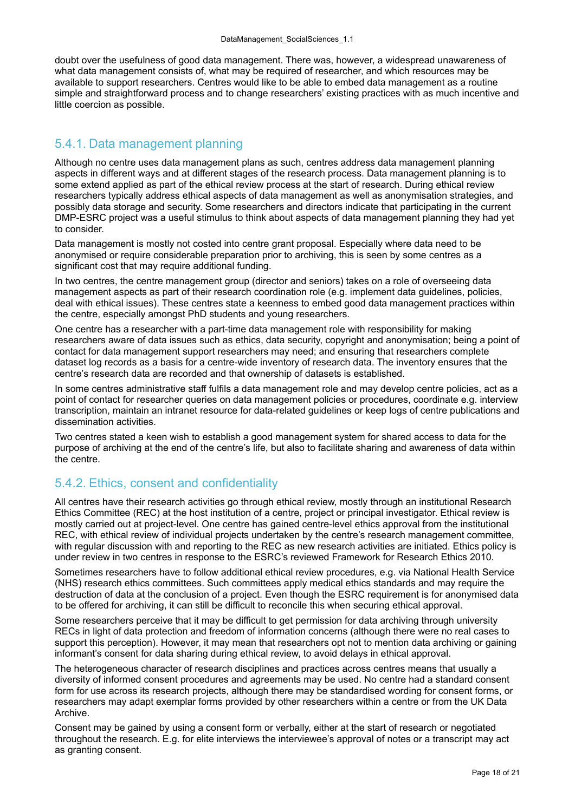<span id="page-17-0"></span>doubt over the usefulness of good data management. There was, however, a widespread unawareness of what data management consists of, what may be required of researcher, and which resources may be available to support researchers. Centres would like to be able to embed data management as a routine simple and straightforward process and to change researchers' existing practices with as much incentive and little coercion as possible.

#### 5.4.1. Data management planning

Although no centre uses data management plans as such, centres address data management planning aspects in different ways and at different stages of the research process. Data management planning is to some extend applied as part of the ethical review process at the start of research. During ethical review researchers typically address ethical aspects of data management as well as anonymisation strategies, and possibly data storage and security. Some researchers and directors indicate that participating in the current DMP-ESRC project was a useful stimulus to think about aspects of data management planning they had yet to consider.

Data management is mostly not costed into centre grant proposal. Especially where data need to be anonymised or require considerable preparation prior to archiving, this is seen by some centres as a significant cost that may require additional funding.

In two centres, the centre management group (director and seniors) takes on a role of overseeing data management aspects as part of their research coordination role (e.g. implement data guidelines, policies, deal with ethical issues). These centres state a keenness to embed good data management practices within the centre, especially amongst PhD students and young researchers.

One centre has a researcher with a part-time data management role with responsibility for making researchers aware of data issues such as ethics, data security, copyright and anonymisation; being a point of contact for data management support researchers may need; and ensuring that researchers complete dataset log records as a basis for a centre-wide inventory of research data. The inventory ensures that the centre's research data are recorded and that ownership of datasets is established.

In some centres administrative staff fulfils a data management role and may develop centre policies, act as a point of contact for researcher queries on data management policies or procedures, coordinate e.g. interview transcription, maintain an intranet resource for data-related guidelines or keep logs of centre publications and dissemination activities.

Two centres stated a keen wish to establish a good management system for shared access to data for the purpose of archiving at the end of the centre's life, but also to facilitate sharing and awareness of data within the centre.

#### 5.4.2. Ethics, consent and confidentiality

All centres have their research activities go through ethical review, mostly through an institutional Research Ethics Committee (REC) at the host institution of a centre, project or principal investigator. Ethical review is mostly carried out at project-level. One centre has gained centre-level ethics approval from the institutional REC, with ethical review of individual projects undertaken by the centre's research management committee, with regular discussion with and reporting to the REC as new research activities are initiated. Ethics policy is under review in two centres in response to the ESRC's reviewed Framework for Research Ethics 2010.

Sometimes researchers have to follow additional ethical review procedures, e.g. via National Health Service (NHS) research ethics committees. Such committees apply medical ethics standards and may require the destruction of data at the conclusion of a project. Even though the ESRC requirement is for anonymised data to be offered for archiving, it can still be difficult to reconcile this when securing ethical approval.

Some researchers perceive that it may be difficult to get permission for data archiving through university RECs in light of data protection and freedom of information concerns (although there were no real cases to support this perception). However, it may mean that researchers opt not to mention data archiving or gaining informant's consent for data sharing during ethical review, to avoid delays in ethical approval.

The heterogeneous character of research disciplines and practices across centres means that usually a diversity of informed consent procedures and agreements may be used. No centre had a standard consent form for use across its research projects, although there may be standardised wording for consent forms, or researchers may adapt exemplar forms provided by other researchers within a centre or from the UK Data Archive.

Consent may be gained by using a consent form or verbally, either at the start of research or negotiated throughout the research. E.g. for elite interviews the interviewee's approval of notes or a transcript may act as granting consent.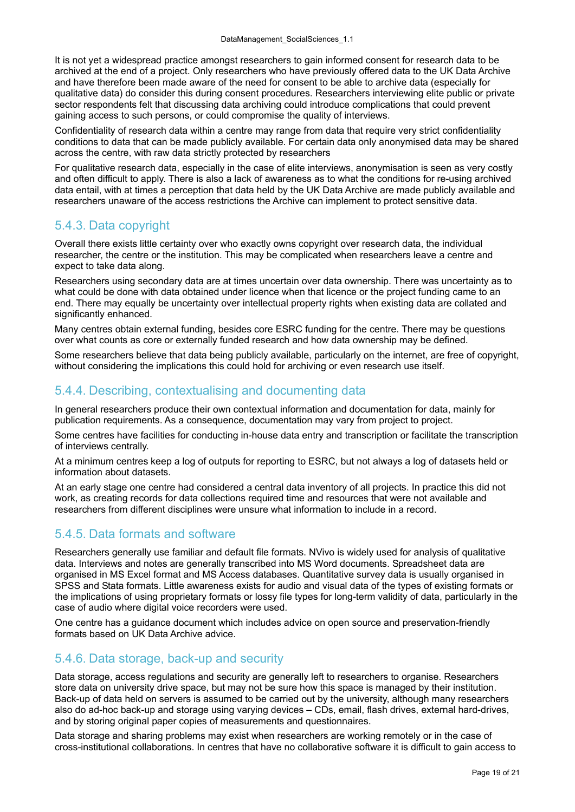<span id="page-18-0"></span>It is not yet a widespread practice amongst researchers to gain informed consent for research data to be archived at the end of a project. Only researchers who have previously offered data to the UK Data Archive and have therefore been made aware of the need for consent to be able to archive data (especially for qualitative data) do consider this during consent procedures. Researchers interviewing elite public or private sector respondents felt that discussing data archiving could introduce complications that could prevent gaining access to such persons, or could compromise the quality of interviews.

Confidentiality of research data within a centre may range from data that require very strict confidentiality conditions to data that can be made publicly available. For certain data only anonymised data may be shared across the centre, with raw data strictly protected by researchers

For qualitative research data, especially in the case of elite interviews, anonymisation is seen as very costly and often difficult to apply. There is also a lack of awareness as to what the conditions for re-using archived data entail, with at times a perception that data held by the UK Data Archive are made publicly available and researchers unaware of the access restrictions the Archive can implement to protect sensitive data.

#### 5.4.3. Data copyright

Overall there exists little certainty over who exactly owns copyright over research data, the individual researcher, the centre or the institution. This may be complicated when researchers leave a centre and expect to take data along.

Researchers using secondary data are at times uncertain over data ownership. There was uncertainty as to what could be done with data obtained under licence when that licence or the project funding came to an end. There may equally be uncertainty over intellectual property rights when existing data are collated and significantly enhanced.

Many centres obtain external funding, besides core ESRC funding for the centre. There may be questions over what counts as core or externally funded research and how data ownership may be defined.

Some researchers believe that data being publicly available, particularly on the internet, are free of copyright, without considering the implications this could hold for archiving or even research use itself.

#### 5.4.4. Describing, contextualising and documenting data

In general researchers produce their own contextual information and documentation for data, mainly for publication requirements. As a consequence, documentation may vary from project to project.

Some centres have facilities for conducting in-house data entry and transcription or facilitate the transcription of interviews centrally.

At a minimum centres keep a log of outputs for reporting to ESRC, but not always a log of datasets held or information about datasets.

At an early stage one centre had considered a central data inventory of all projects. In practice this did not work, as creating records for data collections required time and resources that were not available and researchers from different disciplines were unsure what information to include in a record.

#### 5.4.5. Data formats and software

Researchers generally use familiar and default file formats. NVivo is widely used for analysis of qualitative data. Interviews and notes are generally transcribed into MS Word documents. Spreadsheet data are organised in MS Excel format and MS Access databases. Quantitative survey data is usually organised in SPSS and Stata formats. Little awareness exists for audio and visual data of the types of existing formats or the implications of using proprietary formats or lossy file types for long-term validity of data, particularly in the case of audio where digital voice recorders were used.

One centre has a guidance document which includes advice on open source and preservation-friendly formats based on UK Data Archive advice.

#### 5.4.6. Data storage, back-up and security

Data storage, access regulations and security are generally left to researchers to organise. Researchers store data on university drive space, but may not be sure how this space is managed by their institution. Back-up of data held on servers is assumed to be carried out by the university, although many researchers also do ad-hoc back-up and storage using varying devices – CDs, email, flash drives, external hard-drives, and by storing original paper copies of measurements and questionnaires.

Data storage and sharing problems may exist when researchers are working remotely or in the case of cross-institutional collaborations. In centres that have no collaborative software it is difficult to gain access to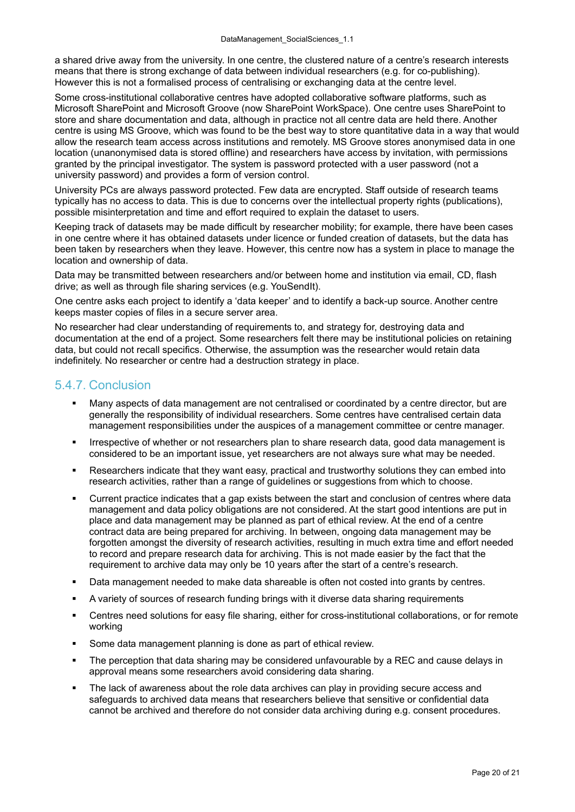a shared drive away from the university. In one centre, the clustered nature of a centre's research interests means that there is strong exchange of data between individual researchers (e.g. for co-publishing). However this is not a formalised process of centralising or exchanging data at the centre level.

Some cross-institutional collaborative centres have adopted collaborative software platforms, such as Microsoft SharePoint and Microsoft Groove (now SharePoint WorkSpace). One centre uses SharePoint to store and share documentation and data, although in practice not all centre data are held there. Another centre is using MS Groove, which was found to be the best way to store quantitative data in a way that would allow the research team access across institutions and remotely. MS Groove stores anonymised data in one location (unanonymised data is stored offline) and researchers have access by invitation, with permissions granted by the principal investigator. The system is password protected with a user password (not a university password) and provides a form of version control.

University PCs are always password protected. Few data are encrypted. Staff outside of research teams typically has no access to data. This is due to concerns over the intellectual property rights (publications), possible misinterpretation and time and effort required to explain the dataset to users.

Keeping track of datasets may be made difficult by researcher mobility; for example, there have been cases in one centre where it has obtained datasets under licence or funded creation of datasets, but the data has been taken by researchers when they leave. However, this centre now has a system in place to manage the location and ownership of data.

Data may be transmitted between researchers and/or between home and institution via email, CD, flash drive; as well as through file sharing services (e.g. YouSendIt).

One centre asks each project to identify a 'data keeper' and to identify a back-up source. Another centre keeps master copies of files in a secure server area.

No researcher had clear understanding of requirements to, and strategy for, destroying data and documentation at the end of a project. Some researchers felt there may be institutional policies on retaining data, but could not recall specifics. Otherwise, the assumption was the researcher would retain data indefinitely. No researcher or centre had a destruction strategy in place.

#### 5.4.7. Conclusion

- Many aspects of data management are not centralised or coordinated by a centre director, but are generally the responsibility of individual researchers. Some centres have centralised certain data management responsibilities under the auspices of a management committee or centre manager.
- Irrespective of whether or not researchers plan to share research data, good data management is considered to be an important issue, yet researchers are not always sure what may be needed.
- Researchers indicate that they want easy, practical and trustworthy solutions they can embed into research activities, rather than a range of guidelines or suggestions from which to choose.
- Current practice indicates that a gap exists between the start and conclusion of centres where data management and data policy obligations are not considered. At the start good intentions are put in place and data management may be planned as part of ethical review. At the end of a centre contract data are being prepared for archiving. In between, ongoing data management may be forgotten amongst the diversity of research activities, resulting in much extra time and effort needed to record and prepare research data for archiving. This is not made easier by the fact that the requirement to archive data may only be 10 years after the start of a centre's research.
- Data management needed to make data shareable is often not costed into grants by centres.
- A variety of sources of research funding brings with it diverse data sharing requirements
- Centres need solutions for easy file sharing, either for cross-institutional collaborations, or for remote working
- Some data management planning is done as part of ethical review.
- The perception that data sharing may be considered unfavourable by a REC and cause delays in approval means some researchers avoid considering data sharing.
- The lack of awareness about the role data archives can play in providing secure access and safeguards to archived data means that researchers believe that sensitive or confidential data cannot be archived and therefore do not consider data archiving during e.g. consent procedures.